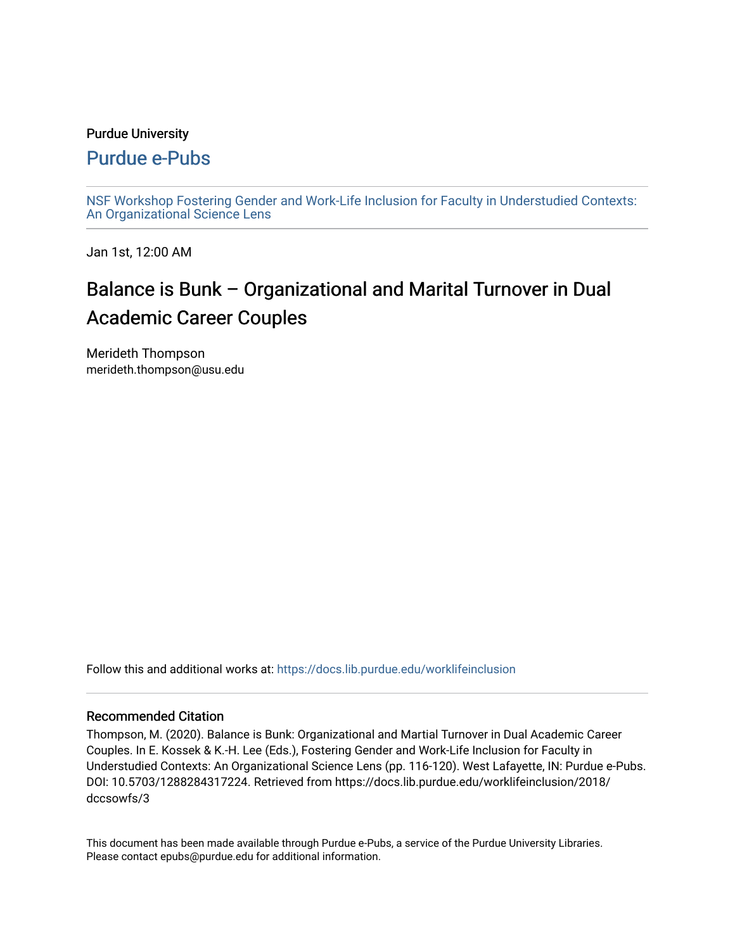#### Purdue University

### [Purdue e-Pubs](https://docs.lib.purdue.edu/)

[NSF Workshop Fostering Gender and Work-Life Inclusion for Faculty in Understudied Contexts:](https://docs.lib.purdue.edu/worklifeinclusion)  [An Organizational Science Lens](https://docs.lib.purdue.edu/worklifeinclusion)

Jan 1st, 12:00 AM

# Balance is Bunk – Organizational and Marital Turnover in Dual Academic Career Couples

Merideth Thompson merideth.thompson@usu.edu

Follow this and additional works at: [https://docs.lib.purdue.edu/worklifeinclusion](https://docs.lib.purdue.edu/worklifeinclusion?utm_source=docs.lib.purdue.edu%2Fworklifeinclusion%2F2018%2Fdccsowfs%2F3&utm_medium=PDF&utm_campaign=PDFCoverPages) 

#### Recommended Citation

Thompson, M. (2020). Balance is Bunk: Organizational and Martial Turnover in Dual Academic Career Couples. In E. Kossek & K.-H. Lee (Eds.), Fostering Gender and Work-Life Inclusion for Faculty in Understudied Contexts: An Organizational Science Lens (pp. 116-120). West Lafayette, IN: Purdue e-Pubs. DOI: 10.5703/1288284317224. Retrieved from https://docs.lib.purdue.edu/worklifeinclusion/2018/ dccsowfs/3

This document has been made available through Purdue e-Pubs, a service of the Purdue University Libraries. Please contact epubs@purdue.edu for additional information.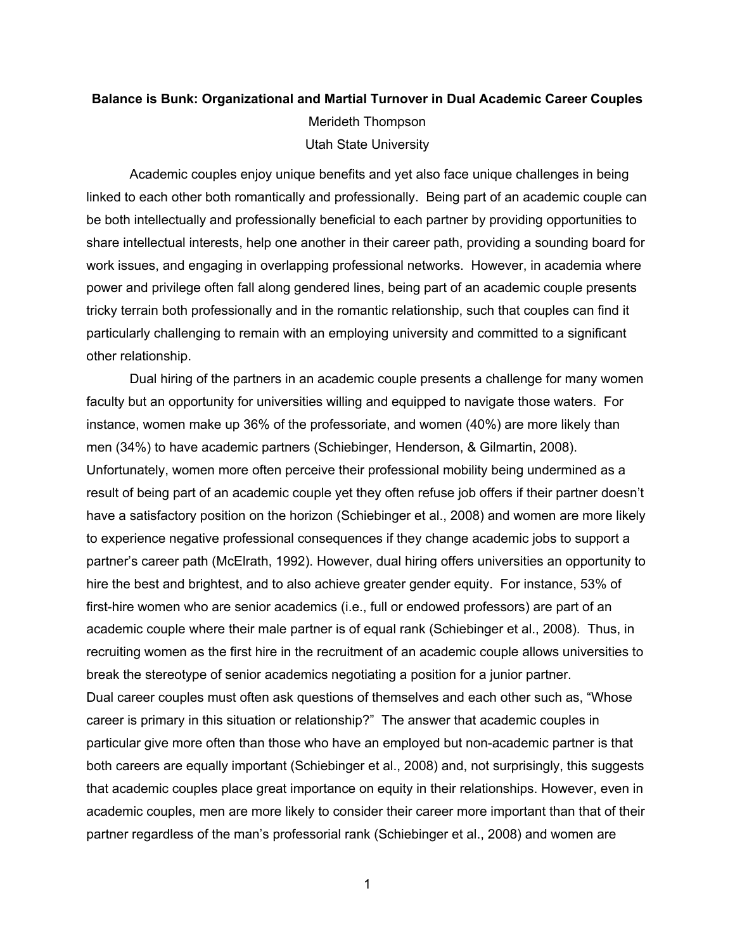## **Balance is Bunk: Organizational and Martial Turnover in Dual Academic Career Couples**  Utah State University Merideth Thompson

 Academic couples enjoy unique benefits and yet also face unique challenges in being linked to each other both romantically and professionally. Being part of an academic couple can share intellectual interests, help one another in their career path, providing a sounding board for work issues, and engaging in overlapping professional networks. However, in academia where power and privilege often fall along gendered lines, being part of an academic couple presents be both intellectually and professionally beneficial to each partner by providing opportunities to tricky terrain both professionally and in the romantic relationship, such that couples can find it particularly challenging to remain with an employing university and committed to a significant other relationship.

 Dual hiring of the partners in an academic couple presents a challenge for many women faculty but an opportunity for universities willing and equipped to navigate those waters. For instance, women make up 36% of the professoriate, and women (40%) are more likely than men (34%) to have academic partners (Schiebinger, Henderson, & Gilmartin, 2008). have a satisfactory position on the horizon (Schiebinger et al., 2008) and women are more likely partner's career path (McElrath, 1992). However, dual hiring offers universities an opportunity to hire the best and brightest, and to also achieve greater gender equity. For instance, 53% of first-hire women who are senior academics (i.e., full or endowed professors) are part of an academic couple where their male partner is of equal rank (Schiebinger et al., 2008). Thus, in recruiting women as the first hire in the recruitment of an academic couple allows universities to break the stereotype of senior academics negotiating a position for a junior partner. Dual career couples must often ask questions of themselves and each other such as, "Whose career is primary in this situation or relationship?" The answer that academic couples in particular give more often than those who have an employed but non-academic partner is that both careers are equally important (Schiebinger et al., 2008) and, not surprisingly, this suggests academic couples, men are more likely to consider their career more important than that of their partner regardless of the man's professorial rank (Schiebinger et al., 2008) and women are Unfortunately, women more often perceive their professional mobility being undermined as a result of being part of an academic couple yet they often refuse job offers if their partner doesn't to experience negative professional consequences if they change academic jobs to support a that academic couples place great importance on equity in their relationships. However, even in

1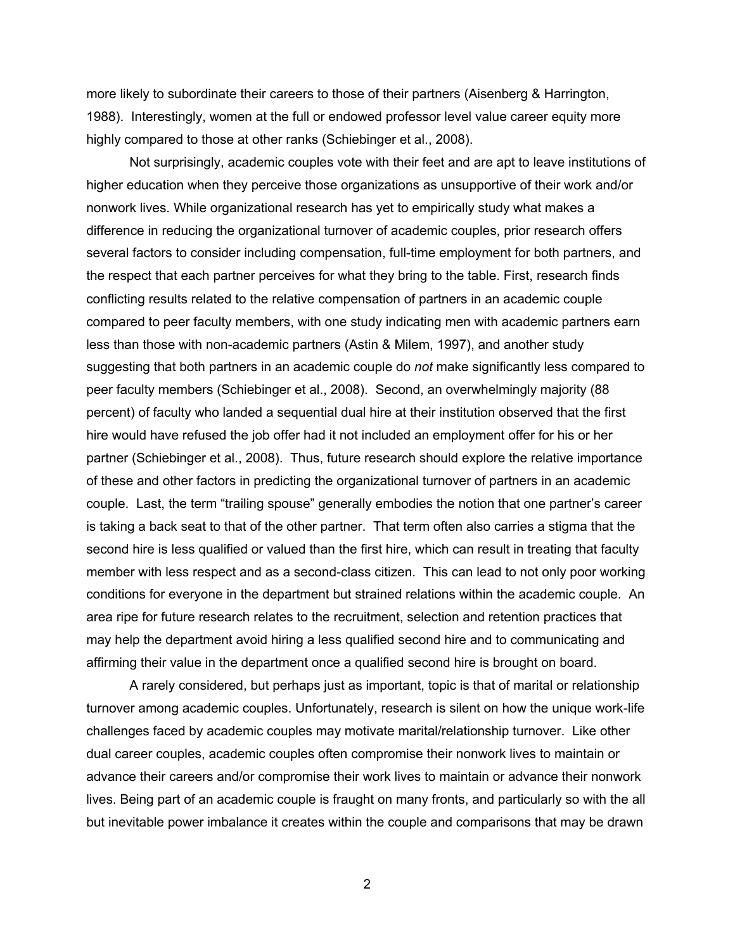more likely to subordinate their careers to those of their partners (Aisenberg & Harrington, 1988). Interestingly, women at the full or endowed professor level value career equity more highly compared to those at other ranks (Schiebinger et al., 2008).

 Not surprisingly, academic couples vote with their feet and are apt to leave institutions of higher education when they perceive those organizations as unsupportive of their work and/or nonwork lives. While organizational research has yet to empirically study what makes a difference in reducing the organizational turnover of academic couples, prior research offers compared to peer faculty members, with one study indicating men with academic partners earn less than those with non-academic partners (Astin & Milem, 1997), and another study suggesting that both partners in an academic couple do *not* make significantly less compared to peer faculty members (Schiebinger et al., 2008). Second, an overwhelmingly majority (88 percent) of faculty who landed a sequential dual hire at their institution observed that the first hire would have refused the job offer had it not included an employment offer for his or her partner (Schiebinger et al., 2008). Thus, future research should explore the relative importance of these and other factors in predicting the organizational turnover of partners in an academic couple. Last, the term "trailing spouse" generally embodies the notion that one partner's career is taking a back seat to that of the other partner. That term often also carries a stigma that the second hire is less qualified or valued than the first hire, which can result in treating that faculty member with less respect and as a second-class citizen. This can lead to not only poor working conditions for everyone in the department but strained relations within the academic couple. An may help the department avoid hiring a less qualified second hire and to communicating and several factors to consider including compensation, full-time employment for both partners, and the respect that each partner perceives for what they bring to the table. First, research finds conflicting results related to the relative compensation of partners in an academic couple area ripe for future research relates to the recruitment, selection and retention practices that affirming their value in the department once a qualified second hire is brought on board.

 A rarely considered, but perhaps just as important, topic is that of marital or relationship challenges faced by academic couples may motivate marital/relationship turnover. Like other dual career couples, academic couples often compromise their nonwork lives to maintain or lives. Being part of an academic couple is fraught on many fronts, and particularly so with the all but inevitable power imbalance it creates within the couple and comparisons that may be drawn turnover among academic couples. Unfortunately, research is silent on how the unique work-life advance their careers and/or compromise their work lives to maintain or advance their nonwork

2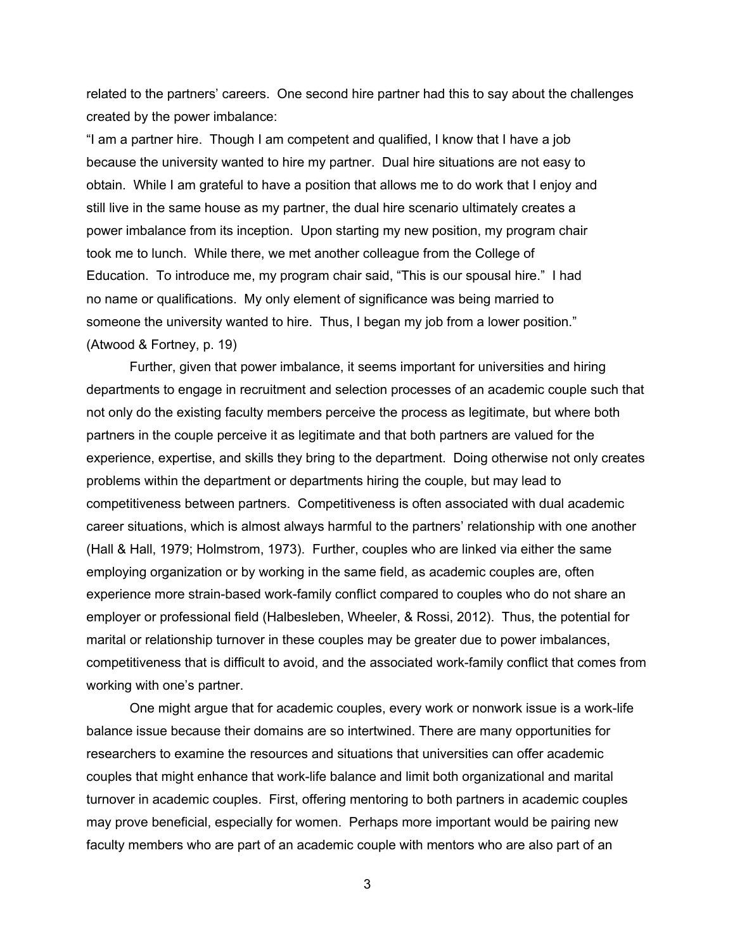created by the power imbalance: related to the partners' careers. One second hire partner had this to say about the challenges

 "I am a partner hire. Though I am competent and qualified, I know that I have a job because the university wanted to hire my partner. Dual hire situations are not easy to obtain. While I am grateful to have a position that allows me to do work that I enjoy and power imbalance from its inception. Upon starting my new position, my program chair Education. To introduce me, my program chair said, "This is our spousal hire." I had no name or qualifications. My only element of significance was being married to someone the university wanted to hire. Thus, I began my job from a lower position." still live in the same house as my partner, the dual hire scenario ultimately creates a took me to lunch. While there, we met another colleague from the College of (Atwood & Fortney, p. 19)

 Further, given that power imbalance, it seems important for universities and hiring not only do the existing faculty members perceive the process as legitimate, but where both experience, expertise, and skills they bring to the department. Doing otherwise not only creates problems within the department or departments hiring the couple, but may lead to competitiveness between partners. Competitiveness is often associated with dual academic career situations, which is almost always harmful to the partners' relationship with one another employer or professional field (Halbesleben, Wheeler, & Rossi, 2012). Thus, the potential for marital or relationship turnover in these couples may be greater due to power imbalances, competitiveness that is difficult to avoid, and the associated work-family conflict that comes from working with one's partner. departments to engage in recruitment and selection processes of an academic couple such that partners in the couple perceive it as legitimate and that both partners are valued for the (Hall & Hall, 1979; Holmstrom, 1973). Further, couples who are linked via either the same employing organization or by working in the same field, as academic couples are, often experience more strain-based work-family conflict compared to couples who do not share an

 One might argue that for academic couples, every work or nonwork issue is a work-life couples that might enhance that work-life balance and limit both organizational and marital may prove beneficial, especially for women. Perhaps more important would be pairing new balance issue because their domains are so intertwined. There are many opportunities for researchers to examine the resources and situations that universities can offer academic turnover in academic couples. First, offering mentoring to both partners in academic couples faculty members who are part of an academic couple with mentors who are also part of an

3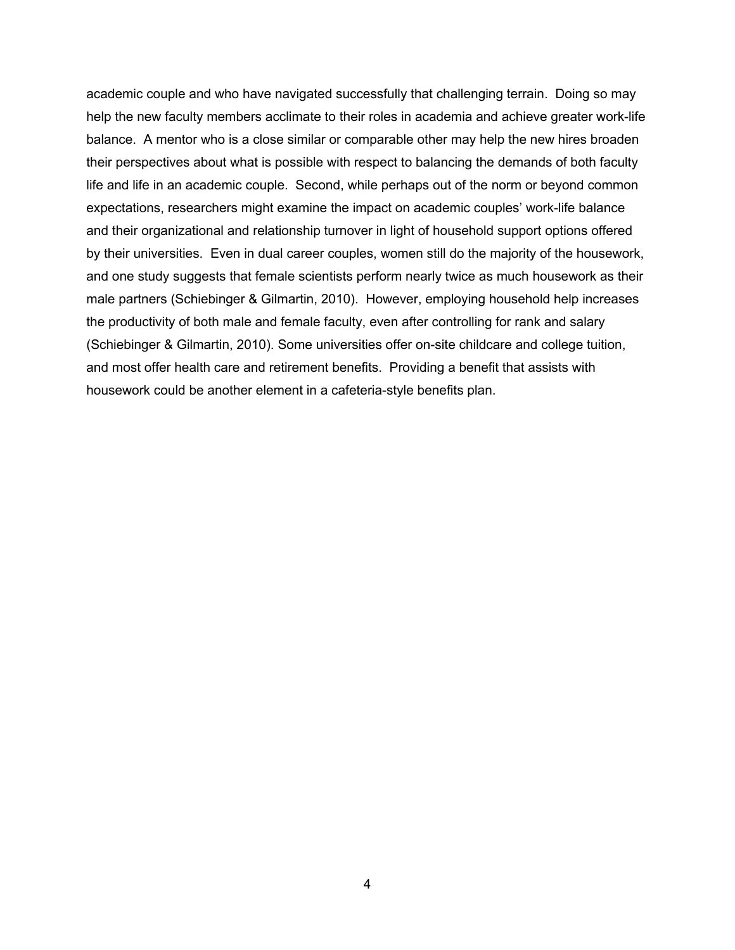academic couple and who have navigated successfully that challenging terrain. Doing so may help the new faculty members acclimate to their roles in academia and achieve greater work-life balance. A mentor who is a close similar or comparable other may help the new hires broaden life and life in an academic couple. Second, while perhaps out of the norm or beyond common expectations, researchers might examine the impact on academic couples' work-life balance and their organizational and relationship turnover in light of household support options offered by their universities. Even in dual career couples, women still do the majority of the housework, male partners (Schiebinger & Gilmartin, 2010). However, employing household help increases and most offer health care and retirement benefits. Providing a benefit that assists with housework could be another element in a cafeteria-style benefits plan. their perspectives about what is possible with respect to balancing the demands of both faculty and one study suggests that female scientists perform nearly twice as much housework as their the productivity of both male and female faculty, even after controlling for rank and salary (Schiebinger & Gilmartin, 2010). Some universities offer on-site childcare and college tuition,